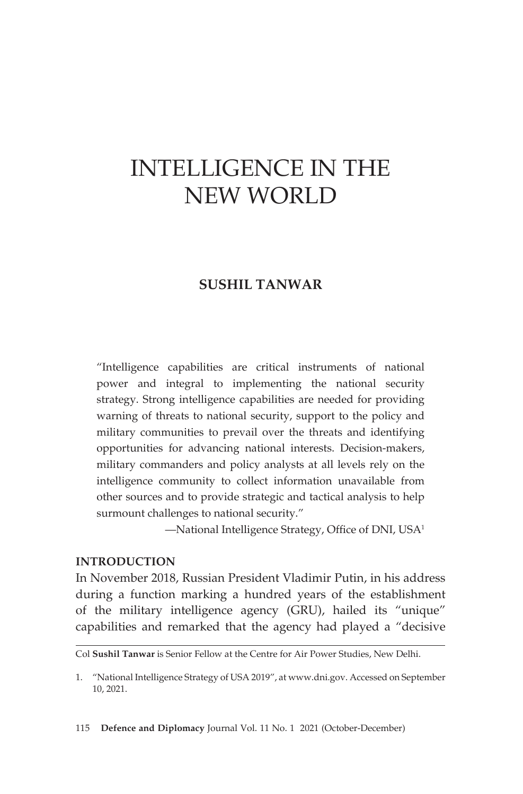# INTELLIGENCE IN THE NEW WORLD

# **SUSHIL TANWAR**

"Intelligence capabilities are critical instruments of national power and integral to implementing the national security strategy. Strong intelligence capabilities are needed for providing warning of threats to national security, support to the policy and military communities to prevail over the threats and identifying opportunities for advancing national interests. Decision-makers, military commanders and policy analysts at all levels rely on the intelligence community to collect information unavailable from other sources and to provide strategic and tactical analysis to help surmount challenges to national security."

—National Intelligence Strategy, Office of DNI, USA<sup>1</sup>

### **INTRODUCTION**

In November 2018, Russian President Vladimir Putin, in his address during a function marking a hundred years of the establishment of the military intelligence agency (GRU), hailed its "unique" capabilities and remarked that the agency had played a "decisive

Col **Sushil Tanwar** is Senior Fellow at the Centre for Air Power Studies, New Delhi.

<sup>1.</sup> "National Intelligence Strategy of USA 2019", at www.dni.gov. Accessed on September 10, 2021.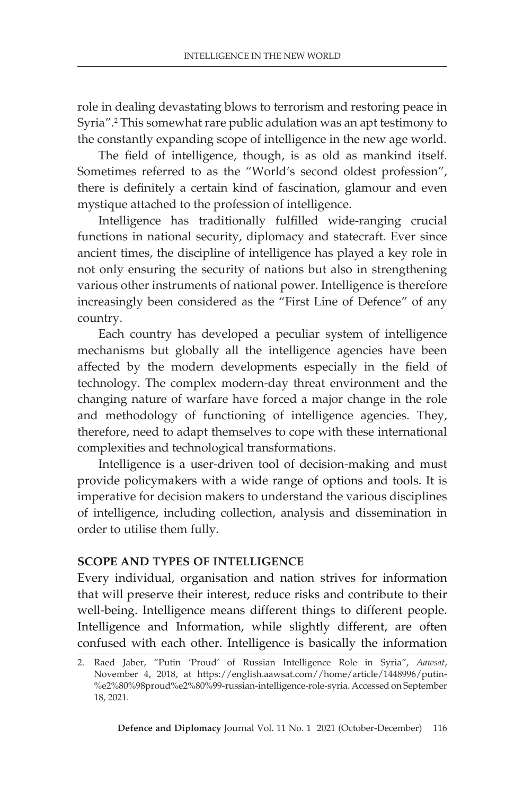INTELLIGENCE IN THE NEW WORLD

role in dealing devastating blows to terrorism and restoring peace in Syria".<sup>2</sup> This somewhat rare public adulation was an apt testimony to the constantly expanding scope of intelligence in the new age world.

The field of intelligence, though, is as old as mankind itself. Sometimes referred to as the "World's second oldest profession", there is definitely a certain kind of fascination, glamour and even mystique attached to the profession of intelligence.

Intelligence has traditionally fulfilled wide-ranging crucial functions in national security, diplomacy and statecraft. Ever since ancient times, the discipline of intelligence has played a key role in not only ensuring the security of nations but also in strengthening various other instruments of national power. Intelligence is therefore increasingly been considered as the "First Line of Defence" of any country.

Each country has developed a peculiar system of intelligence mechanisms but globally all the intelligence agencies have been affected by the modern developments especially in the field of technology. The complex modern-day threat environment and the changing nature of warfare have forced a major change in the role and methodology of functioning of intelligence agencies. They, therefore, need to adapt themselves to cope with these international complexities and technological transformations.

Intelligence is a user-driven tool of decision-making and must provide policymakers with a wide range of options and tools. It is imperative for decision makers to understand the various disciplines of intelligence, including collection, analysis and dissemination in order to utilise them fully.

#### **SCOPE AND TYPES OF INTELLIGENCE**

Every individual, organisation and nation strives for information that will preserve their interest, reduce risks and contribute to their well-being. Intelligence means different things to different people. Intelligence and Information, while slightly different, are often confused with each other. Intelligence is basically the information

<sup>2.</sup> Raed Jaber, "Putin 'Proud' of Russian Intelligence Role in Syria", *Aawsat*, November 4, 2018, at https://english.aawsat.com//home/article/1448996/putin- %e2%80%98proud%e2%80%99-russian-intelligence-role-syria. Accessed on September 18, 2021.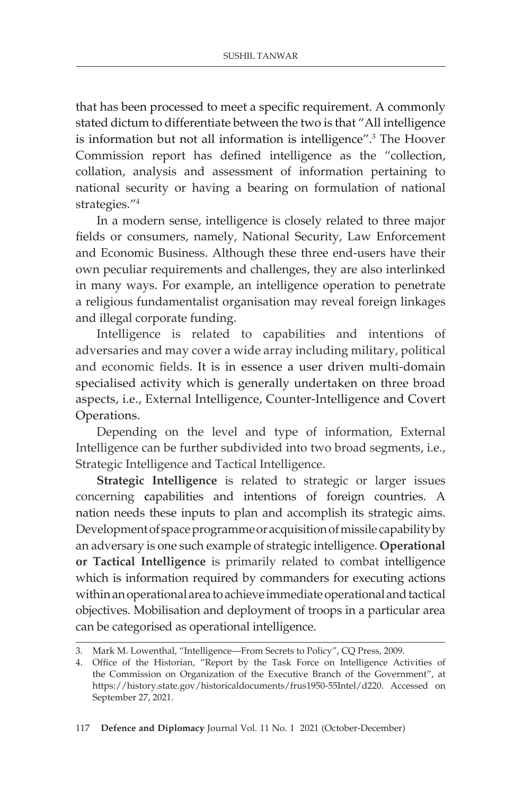that has been processed to meet a specific requirement. A commonly stated dictum to differentiate between the two is that "All intelligence is information but not all information is intelligence".3 The Hoover Commission report has defined intelligence as the "collection, collation, analysis and assessment of information pertaining to national security or having a bearing on formulation of national strategies."4

In a modern sense, intelligence is closely related to three major fields or consumers, namely, National Security, Law Enforcement and Economic Business. Although these three end-users have their own peculiar requirements and challenges, they are also interlinked in many ways. For example, an intelligence operation to penetrate a religious fundamentalist organisation may reveal foreign linkages and illegal corporate funding.

Intelligence is related to capabilities and intentions of adversaries and may cover a wide array including military, political and economic fields. It is in essence a user driven multi-domain specialised activity which is generally undertaken on three broad aspects, i.e., External Intelligence, Counter-Intelligence and Covert Operations.

Depending on the level and type of information, External Intelligence can be further subdivided into two broad segments, i.e., Strategic Intelligence and Tactical Intelligence.

**Strategic Intelligence** is related to strategic or larger issues concerning **c**apabilities and intentions of foreign countries. A nation needs these inputs to plan and accomplish its strategic aims. Development of space programme or acquisition of missile capability by an adversary is one such example of strategic intelligence. **Operational or Tactical Intelligence** is primarily related to combat intelligence which is information required by commanders for executing actions within an operational area to achieve immediate operational and tactical objectives. Mobilisation and deployment of troops in a particular area can be categorised as operational intelligence.

<sup>3.</sup> Mark M. Lowenthal, "Intelligence—From Secrets to Policy", CQ Press, 2009.

<sup>4.</sup> Office of the Historian, "Report by the Task Force on Intelligence Activities of the Commission on Organization of the Executive Branch of the Government", at https://history.state.gov/historicaldocuments/frus1950-55Intel/d220. Accessed on September 27, 2021.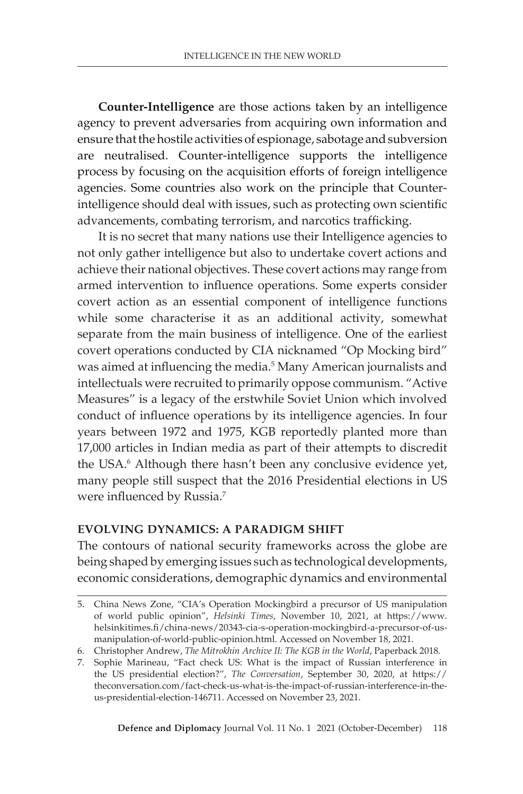**Counter-Intelligence** are those actions taken by an intelligence agency to prevent adversaries from acquiring own information and ensure that the hostile activities of espionage, sabotage and subversion are neutralised. Counter-intelligence supports the intelligence process by focusing on the acquisition efforts of foreign intelligence agencies. Some countries also work on the principle that Counterintelligence should deal with issues, such as protecting own scientific advancements, combating terrorism, and narcotics trafficking.

It is no secret that many nations use their Intelligence agencies to not only gather intelligence but also to undertake covert actions and achieve their national objectives. These covert actions may range from armed intervention to influence operations. Some experts consider covert action as an essential component of intelligence functions while some characterise it as an additional activity, somewhat separate from the main business of intelligence. One of the earliest covert operations conducted by CIA nicknamed "Op Mocking bird" was aimed at influencing the media.<sup>5</sup> Many American journalists and intellectuals were recruited to primarily oppose communism. "Active Measures" is a legacy of the erstwhile Soviet Union which involved conduct of influence operations by its intelligence agencies. In four years between 1972 and 1975, KGB reportedly planted more than 17,000 articles in Indian media as part of their attempts to discredit the USA.<sup>6</sup> Although there hasn't been any conclusive evidence yet, many people still suspect that the 2016 Presidential elections in US were influenced by Russia.<sup>7</sup>

#### **EVOLVING DYNAMICS: A PARADIGM SHIFT**

The contours of national security frameworks across the globe are being shaped by emerging issues such as technological developments, economic considerations, demographic dynamics and environmental

<sup>5.</sup> China News Zone, "CIA's Operation Mockingbird a precursor of US manipulation of world public opinion", *Helsinki Times*, November 10, 2021, at https://www. helsinkitimes.fi/china-news/20343-cia-s-operation-mockingbird-a-precursor-of-usmanipulation-of-world-public-opinion.html. Accessed on November 18, 2021.

<sup>6.</sup> Christopher Andrew, *The Mitrokhin Archive II: The KGB in the World*, Paperback 2018.

<sup>7.</sup> Sophie Marineau, "Fact check US: What is the impact of Russian interference in the US presidential election?", *The Conversation*, September 30, 2020, at https:// theconversation.com/fact-check-us-what-is-the-impact-of-russian-interference-in-theus-presidential-election-146711. Accessed on November 23, 2021.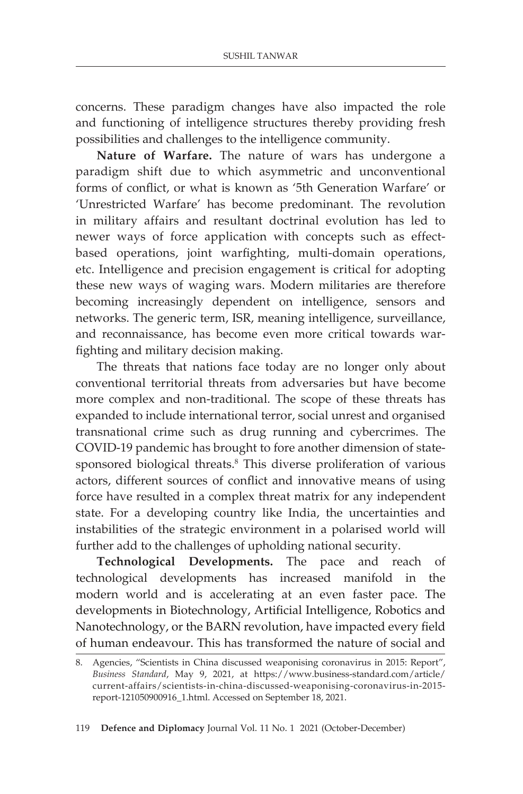concerns. These paradigm changes have also impacted the role and functioning of intelligence structures thereby providing fresh possibilities and challenges to the intelligence community.

**Nature of Warfare.** The nature of wars has undergone a paradigm shift due to which asymmetric and unconventional forms of conflict, or what is known as '5th Generation Warfare' or 'Unrestricted Warfare' has become predominant. The revolution in military affairs and resultant doctrinal evolution has led to newer ways of force application with concepts such as effectbased operations, joint warfighting, multi-domain operations, etc. Intelligence and precision engagement is critical for adopting these new ways of waging wars. Modern militaries are therefore becoming increasingly dependent on intelligence, sensors and networks. The generic term, ISR, meaning intelligence, surveillance, and reconnaissance, has become even more critical towards warfighting and military decision making.

The threats that nations face today are no longer only about conventional territorial threats from adversaries but have become more complex and non-traditional. The scope of these threats has expanded to include international terror, social unrest and organised transnational crime such as drug running and cybercrimes. The COVID-19 pandemic has brought to fore another dimension of statesponsored biological threats.<sup>8</sup> This diverse proliferation of various actors, different sources of conflict and innovative means of using force have resulted in a complex threat matrix for any independent state. For a developing country like India, the uncertainties and instabilities of the strategic environment in a polarised world will further add to the challenges of upholding national security.

**Technological Developments.** The pace and reach of technological developments has increased manifold in the modern world and is accelerating at an even faster pace. The developments in Biotechnology, Artificial Intelligence, Robotics and Nanotechnology, or the BARN revolution, have impacted every field of human endeavour. This has transformed the nature of social and

<sup>8.</sup> Agencies, "Scientists in China discussed weaponising coronavirus in 2015: Report", *Business Standard*, May 9, 2021, at https://www.business-standard.com/article/ current-affairs/scientists-in-china-discussed-weaponising-coronavirus-in-2015 report-121050900916\_1.html. Accessed on September 18, 2021.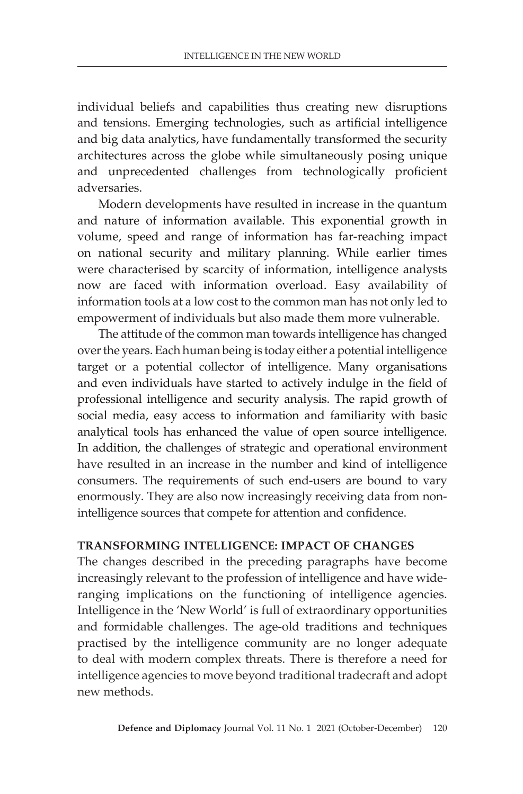individual beliefs and capabilities thus creating new disruptions and tensions. Emerging technologies, such as artificial intelligence and big data analytics, have fundamentally transformed the security architectures across the globe while simultaneously posing unique and unprecedented challenges from technologically proficient adversaries.

Modern developments have resulted in increase in the quantum and nature of information available. This exponential growth in volume, speed and range of information has far-reaching impact on national security and military planning. While earlier times were characterised by scarcity of information, intelligence analysts now are faced with information overload. Easy availability of information tools at a low cost to the common man has not only led to empowerment of individuals but also made them more vulnerable.

The attitude of the common man towards intelligence has changed over the years. Each human being is today either a potential intelligence target or a potential collector of intelligence. Many organisations and even individuals have started to actively indulge in the field of professional intelligence and security analysis. The rapid growth of social media, easy access to information and familiarity with basic analytical tools has enhanced the value of open source intelligence. In addition, the challenges of strategic and operational environment have resulted in an increase in the number and kind of intelligence consumers. The requirements of such end-users are bound to vary enormously. They are also now increasingly receiving data from nonintelligence sources that compete for attention and confidence.

#### **TRANSFORMING INTELLIGENCE: IMPACT OF CHANGES**

The changes described in the preceding paragraphs have become increasingly relevant to the profession of intelligence and have wideranging implications on the functioning of intelligence agencies. Intelligence in the 'New World' is full of extraordinary opportunities and formidable challenges. The age-old traditions and techniques practised by the intelligence community are no longer adequate to deal with modern complex threats. There is therefore a need for intelligence agencies to move beyond traditional tradecraft and adopt new methods.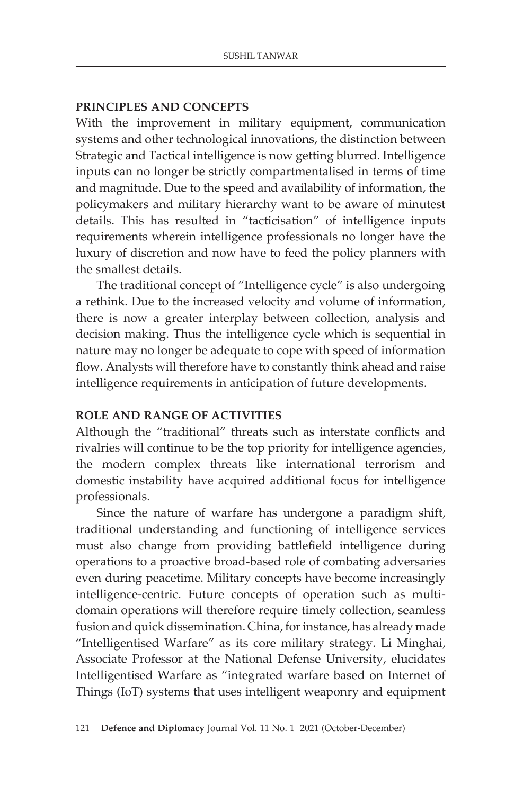### **PRINCIPLES AND CONCEPTS**

With the improvement in military equipment, communication systems and other technological innovations, the distinction between Strategic and Tactical intelligence is now getting blurred. Intelligence inputs can no longer be strictly compartmentalised in terms of time and magnitude. Due to the speed and availability of information, the policymakers and military hierarchy want to be aware of minutest details. This has resulted in "tacticisation" of intelligence inputs requirements wherein intelligence professionals no longer have the luxury of discretion and now have to feed the policy planners with the smallest details.

The traditional concept of "Intelligence cycle" is also undergoing a rethink. Due to the increased velocity and volume of information, there is now a greater interplay between collection, analysis and decision making. Thus the intelligence cycle which is sequential in nature may no longer be adequate to cope with speed of information flow. Analysts will therefore have to constantly think ahead and raise intelligence requirements in anticipation of future developments.

#### **ROLE AND RANGE OF ACTIVITIES**

Although the "traditional" threats such as interstate conflicts and rivalries will continue to be the top priority for intelligence agencies, the modern complex threats like international terrorism and domestic instability have acquired additional focus for intelligence professionals.

Since the nature of warfare has undergone a paradigm shift, traditional understanding and functioning of intelligence services must also change from providing battlefield intelligence during operations to a proactive broad-based role of combating adversaries even during peacetime. Military concepts have become increasingly intelligence-centric. Future concepts of operation such as multidomain operations will therefore require timely collection, seamless fusion and quick dissemination. China, for instance, has already made "Intelligentised Warfare" as its core military strategy. Li Minghai, Associate Professor at the National Defense University, elucidates Intelligentised Warfare as "integrated warfare based on Internet of Things (IoT) systems that uses intelligent weaponry and equipment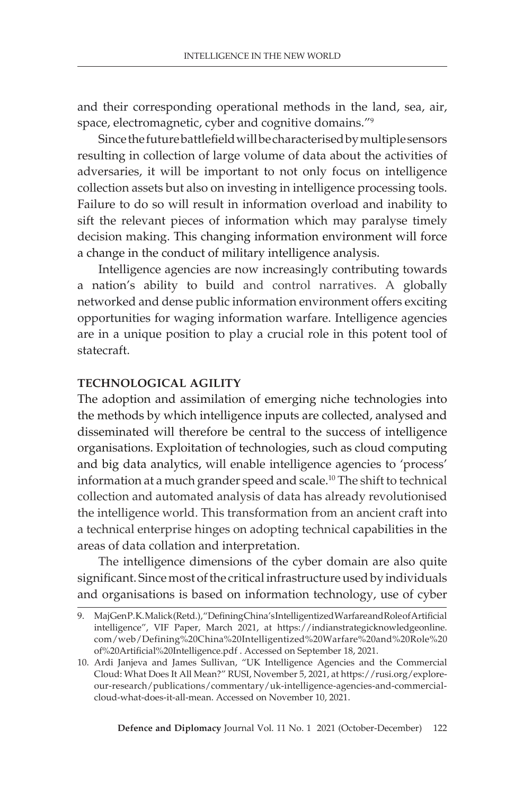and their corresponding operational methods in the land, sea, air, space, electromagnetic, cyber and cognitive domains."<sup>9</sup>

Since the future battlefield will be characterised by multiple sensors resulting in collection of large volume of data about the activities of adversaries, it will be important to not only focus on intelligence collection assets but also on investing in intelligence processing tools. Failure to do so will result in information overload and inability to sift the relevant pieces of information which may paralyse timely decision making. This changing information environment will force a change in the conduct of military intelligence analysis.

Intelligence agencies are now increasingly contributing towards a nation's ability to build and control narratives. A globally networked and dense public information environment offers exciting opportunities for waging information warfare. Intelligence agencies are in a unique position to play a crucial role in this potent tool of statecraft.

# **TECHNOLOGICAL AGILITY**

The adoption and assimilation of emerging niche technologies into the methods by which intelligence inputs are collected, analysed and disseminated will therefore be central to the success of intelligence organisations. Exploitation of technologies, such as cloud computing and big data analytics, will enable intelligence agencies to 'process' information at a much grander speed and scale.<sup>10</sup> The shift to technical collection and automated analysis of data has already revolutionised the intelligence world. This transformation from an ancient craft into a technical enterprise hinges on adopting technical capabilities in the areas of data collation and interpretation.

The intelligence dimensions of the cyber domain are also quite significant. Since most of the critical infrastructure used by individuals and organisations is based on information technology, use of cyber

<sup>9.</sup> Maj Gen P. K. Malick (Retd.), "Defining China's Intelligentized Warfare and Role of Artificial intelligence", VIF Paper, March 2021, at https://indianstrategicknowledgeonline. com/web/Defining%20China%20Intelligentized%20Warfare%20and%20Role%20 of%20Artificial%20Intelligence.pdf . Accessed on September 18, 2021.

<sup>10.</sup> Ardi Janjeva and James Sullivan, "UK Intelligence Agencies and the Commercial Cloud: What Does It All Mean?" RUSI, November 5, 2021, at https://rusi.org/exploreour-research/publications/commentary/uk-intelligence-agencies-and-commercialcloud-what-does-it-all-mean. Accessed on November 10, 2021.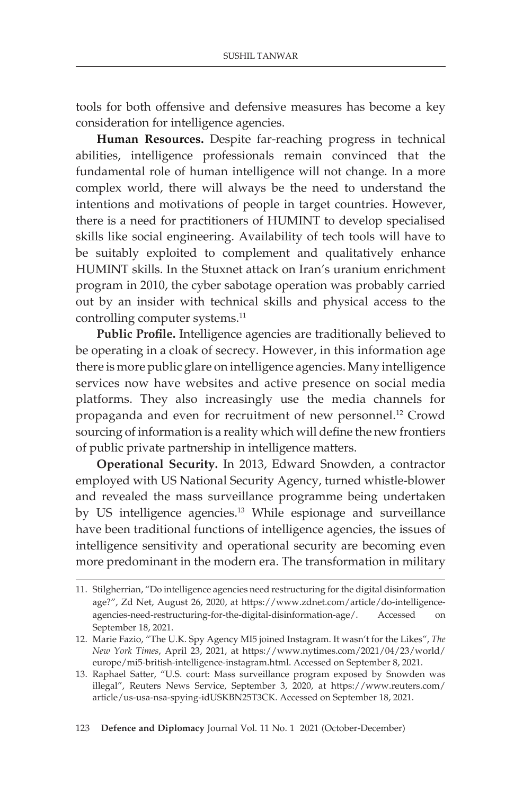tools for both offensive and defensive measures has become a key consideration for intelligence agencies.

**Human Resources.** Despite far-reaching progress in technical abilities, intelligence professionals remain convinced that the fundamental role of human intelligence will not change. In a more complex world, there will always be the need to understand the intentions and motivations of people in target countries. However, there is a need for practitioners of HUMINT to develop specialised skills like social engineering. Availability of tech tools will have to be suitably exploited to complement and qualitatively enhance HUMINT skills. In the Stuxnet attack on Iran's uranium enrichment program in 2010, the cyber sabotage operation was probably carried out by an insider with technical skills and physical access to the controlling computer systems.<sup>11</sup>

**Public Profile.** Intelligence agencies are traditionally believed to be operating in a cloak of secrecy. However, in this information age there is more public glare on intelligence agencies. Many intelligence services now have websites and active presence on social media platforms. They also increasingly use the media channels for propaganda and even for recruitment of new personnel.<sup>12</sup> Crowd sourcing of information is a reality which will define the new frontiers of public private partnership in intelligence matters.

**Operational Security.** In 2013, Edward Snowden, a contractor employed with US National Security Agency, turned whistle-blower and revealed the mass surveillance programme being undertaken by US intelligence agencies.<sup>13</sup> While espionage and surveillance have been traditional functions of intelligence agencies, the issues of intelligence sensitivity and operational security are becoming even more predominant in the modern era. The transformation in military

<sup>11.</sup> Stilgherrian, "Do intelligence agencies need restructuring for the digital disinformation age?", Zd Net, August 26, 2020, at https://www.zdnet.com/article/do-intelligenceagencies-need-restructuring-for-the-digital-disinformation-age/. Accessed on September 18, 2021.

<sup>12.</sup> Marie Fazio, "The U.K. Spy Agency MI5 joined Instagram. It wasn't for the Likes", *The New York Times*, April 23, 2021, at https://www.nytimes.com/2021/04/23/world/ europe/mi5-british-intelligence-instagram.html. Accessed on September 8, 2021.

<sup>13.</sup> Raphael Satter, "U.S. court: Mass surveillance program exposed by Snowden was illegal", Reuters News Service, September 3, 2020, at https://www.reuters.com/ article/us-usa-nsa-spying-idUSKBN25T3CK. Accessed on September 18, 2021.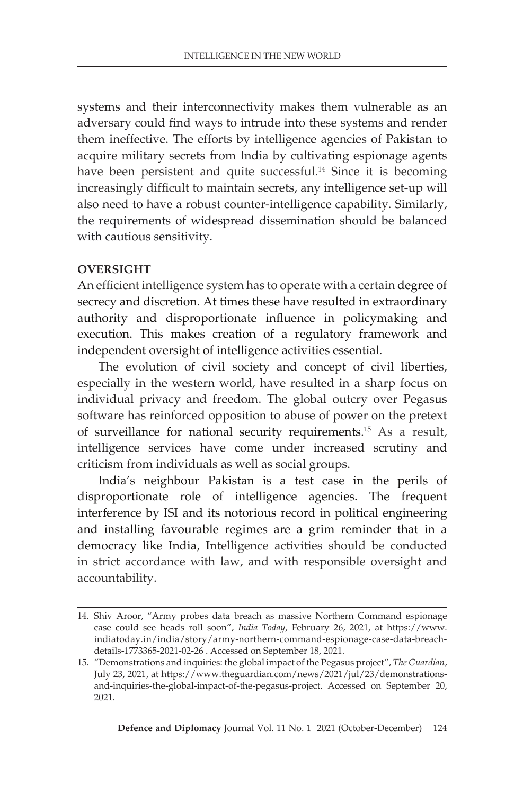systems and their interconnectivity makes them vulnerable as an adversary could find ways to intrude into these systems and render them ineffective. The efforts by intelligence agencies of Pakistan to acquire military secrets from India by cultivating espionage agents have been persistent and quite successful.<sup>14</sup> Since it is becoming increasingly difficult to maintain secrets, any intelligence set-up will also need to have a robust counter-intelligence capability. Similarly, the requirements of widespread dissemination should be balanced with cautious sensitivity.

# **OVERSIGHT**

An efficient intelligence system has to operate with a certain degree of secrecy and discretion. At times these have resulted in extraordinary authority and disproportionate influence in policymaking and execution. This makes creation of a regulatory framework and independent oversight of intelligence activities essential.

The evolution of civil society and concept of civil liberties, especially in the western world, have resulted in a sharp focus on individual privacy and freedom. The global outcry over Pegasus software has reinforced opposition to abuse of power on the pretext of surveillance for national security requirements.15 As a result, intelligence services have come under increased scrutiny and criticism from individuals as well as social groups.

India's neighbour Pakistan is a test case in the perils of disproportionate role of intelligence agencies. The frequent interference by ISI and its notorious record in political engineering and installing favourable regimes are a grim reminder that in a democracy like India, Intelligence activities should be conducted in strict accordance with law, and with responsible oversight and accountability.

<sup>14.</sup> Shiv Aroor, "Army probes data breach as massive Northern Command espionage case could see heads roll soon", *India Today*, February 26, 2021, at https://www. indiatoday.in/india/story/army-northern-command-espionage-case-data-breachdetails-1773365-2021-02-26 . Accessed on September 18, 2021.

<sup>15.</sup> "Demonstrations and inquiries: the global impact of the Pegasus project", *The Guardian*, July 23, 2021, at https://www.theguardian.com/news/2021/jul/23/demonstrationsand-inquiries-the-global-impact-of-the-pegasus-project. Accessed on September 20, 2021.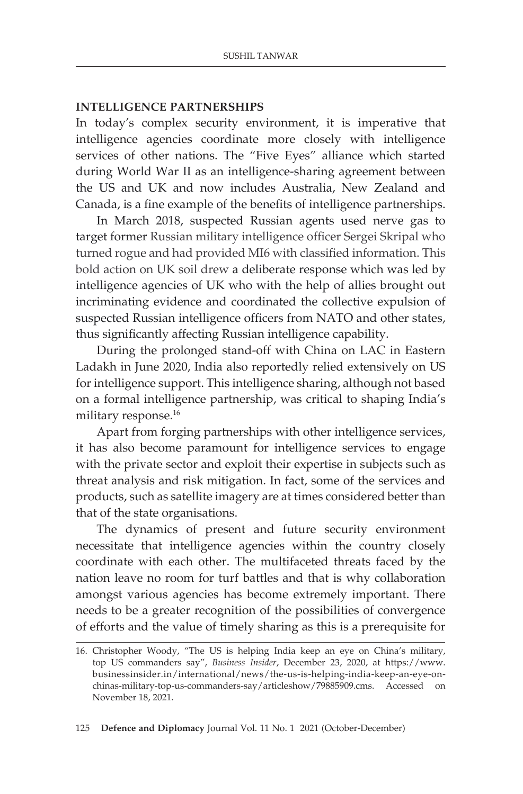#### **INTELLIGENCE PARTNERSHIPS**

In today's complex security environment, it is imperative that intelligence agencies coordinate more closely with intelligence services of other nations. The "Five Eyes" alliance which started during World War II as an intelligence-sharing agreement between the US and UK and now includes Australia, New Zealand and Canada, is a fine example of the benefits of intelligence partnerships.

In March 2018, suspected Russian agents used nerve gas to target former Russian military intelligence officer Sergei Skripal who turned rogue and had provided MI6 with classified information. This bold action on UK soil drew a deliberate response which was led by intelligence agencies of UK who with the help of allies brought out incriminating evidence and coordinated the collective expulsion of suspected Russian intelligence officers from NATO and other states, thus significantly affecting Russian intelligence capability.

During the prolonged stand-off with China on LAC in Eastern Ladakh in June 2020, India also reportedly relied extensively on US for intelligence support. This intelligence sharing, although not based on a formal intelligence partnership, was critical to shaping India's military response.<sup>16</sup>

Apart from forging partnerships with other intelligence services, it has also become paramount for intelligence services to engage with the private sector and exploit their expertise in subjects such as threat analysis and risk mitigation. In fact, some of the services and products, such as satellite imagery are at times considered better than that of the state organisations.

The dynamics of present and future security environment necessitate that intelligence agencies within the country closely coordinate with each other. The multifaceted threats faced by the nation leave no room for turf battles and that is why collaboration amongst various agencies has become extremely important. There needs to be a greater recognition of the possibilities of convergence of efforts and the value of timely sharing as this is a prerequisite for

<sup>16.</sup> Christopher Woody, "The US is helping India keep an eye on China's military, top US commanders say", *Business Insider*, December 23, 2020, at https://www. businessinsider.in/international/news/the-us-is-helping-india-keep-an-eye-onchinas-military-top-us-commanders-say/articleshow/79885909.cms. Accessed on November 18, 2021.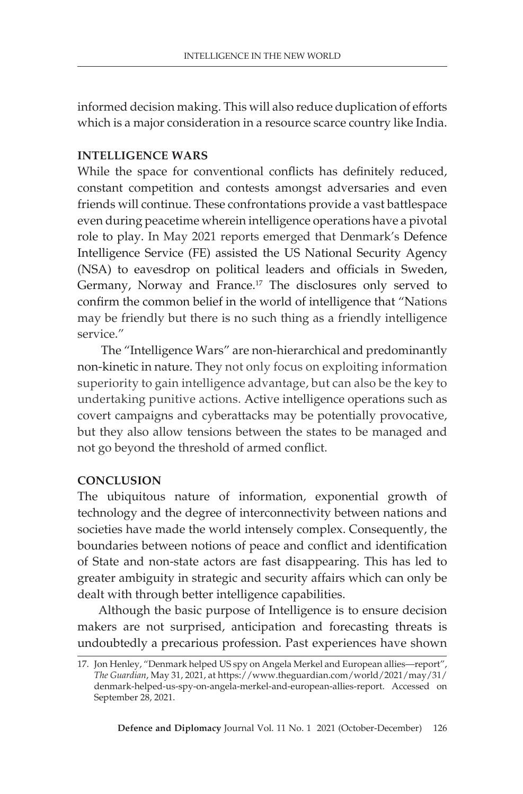informed decision making. This will also reduce duplication of efforts which is a major consideration in a resource scarce country like India.

# **INTELLIGENCE WARS**

While the space for conventional conflicts has definitely reduced, constant competition and contests amongst adversaries and even friends will continue. These confrontations provide a vast battlespace even during peacetime wherein intelligence operations have a pivotal role to play. In May 2021 reports emerged that Denmark's Defence Intelligence Service (FE) assisted the US National Security Agency (NSA) to eavesdrop on political leaders and officials in Sweden, Germany, Norway and France.<sup>17</sup> The disclosures only served to confirm the common belief in the world of intelligence that "Nations may be friendly but there is no such thing as a friendly intelligence service."

 The "Intelligence Wars" are non-hierarchical and predominantly non-kinetic in nature. They not only focus on exploiting information superiority to gain intelligence advantage, but can also be the key to undertaking punitive actions. Active intelligence operations such as covert campaigns and cyberattacks may be potentially provocative, but they also allow tensions between the states to be managed and not go beyond the threshold of armed conflict.

# **CONCLUSION**

The ubiquitous nature of information, exponential growth of technology and the degree of interconnectivity between nations and societies have made the world intensely complex. Consequently, the boundaries between notions of peace and conflict and identification of State and non-state actors are fast disappearing. This has led to greater ambiguity in strategic and security affairs which can only be dealt with through better intelligence capabilities.

Although the basic purpose of Intelligence is to ensure decision makers are not surprised, anticipation and forecasting threats is undoubtedly a precarious profession. Past experiences have shown

<sup>17.</sup> Jon Henley, "Denmark helped US spy on Angela Merkel and European allies—report", *The Guardian*, May 31, 2021, at https://www.theguardian.com/world/2021/may/31/ denmark-helped-us-spy-on-angela-merkel-and-european-allies-report. Accessed on September 28, 2021.